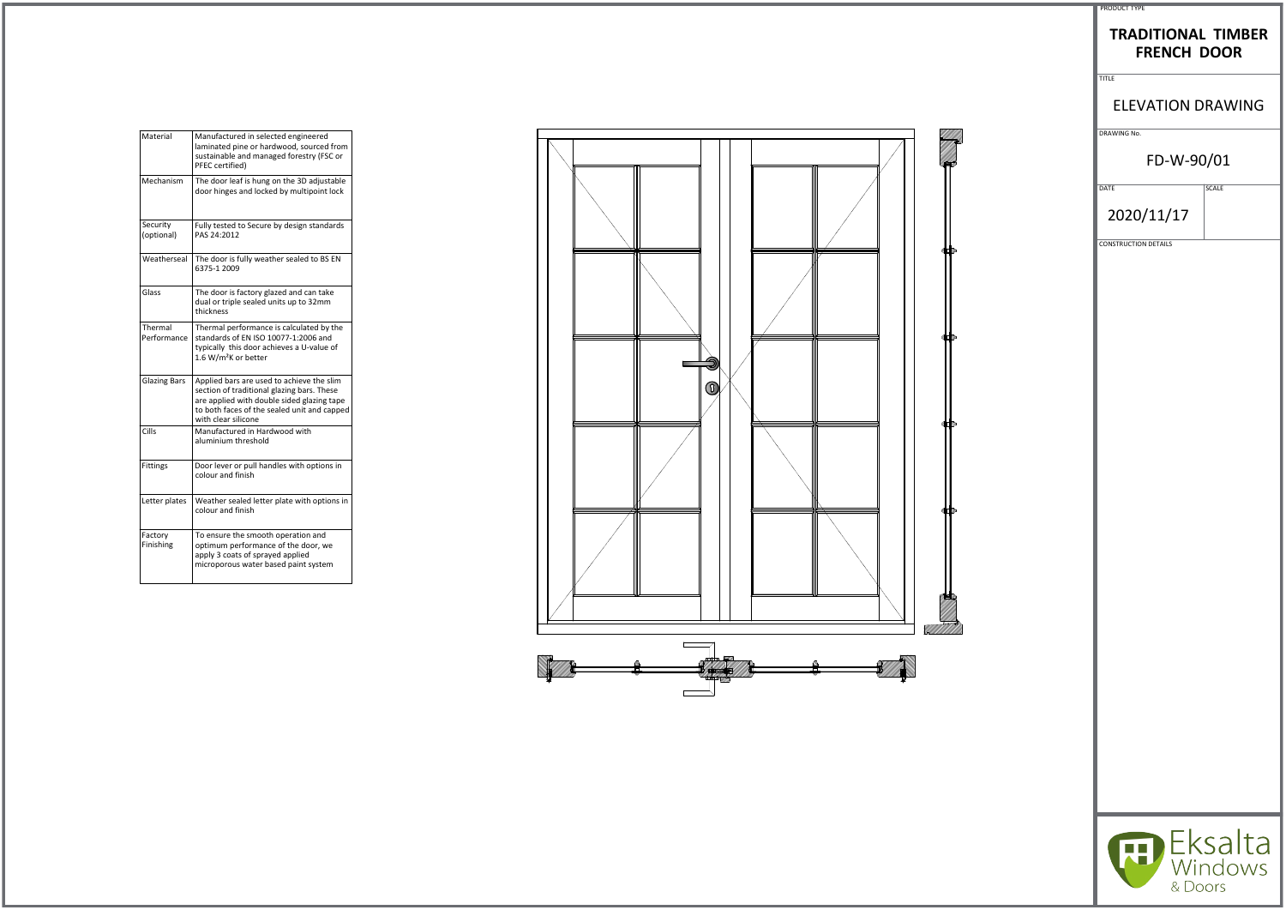| Material               | Manufactured in selected engineered<br>laminated pine or hardwood, sourced from<br>sustainable and managed forestry (FSC or<br>PFEC certified)                                                              |
|------------------------|-------------------------------------------------------------------------------------------------------------------------------------------------------------------------------------------------------------|
| Mechanism              | The door leaf is hung on the 3D adjustable<br>door hinges and locked by multipoint lock                                                                                                                     |
| Security<br>(optional) | Fully tested to Secure by design standards<br>PAS 24:2012                                                                                                                                                   |
| Weatherseal            | The door is fully weather sealed to BS EN<br>6375-1 2009                                                                                                                                                    |
| Glass                  | The door is factory glazed and can take<br>dual or triple sealed units up to 32mm<br>thickness                                                                                                              |
| Thermal<br>Performance | Thermal performance is calculated by the<br>standards of EN ISO 10077-1:2006 and<br>typically this door achieves a U-value of<br>1.6 W/m <sup>2</sup> K or better                                           |
| <b>Glazing Bars</b>    | Applied bars are used to achieve the slim<br>section of traditional glazing bars. These<br>are applied with double sided glazing tape<br>to both faces of the sealed unit and capped<br>with clear silicone |
| Cills                  | Manufactured in Hardwood with<br>aluminium threshold                                                                                                                                                        |
| <b>Fittings</b>        | Door lever or pull handles with options in<br>colour and finish                                                                                                                                             |
| Letter plates          | Weather sealed letter plate with options in<br>colour and finish                                                                                                                                            |
| Factory<br>Finishing   | To ensure the smooth operation and<br>optimum performance of the door, we<br>apply 3 coats of sprayed applied<br>microporous water based paint system                                                       |



| <b>PRODUCT TYPE</b> |  |
|---------------------|--|

## **TRADITIONAL TIMBER FRENCH DOOR**

TITLE

# ELEVATION DRAWING

DRAWING No.

## FD-W-90/01

DATE SCALE

2020/11/17

CONSTRUCTION DETAILS



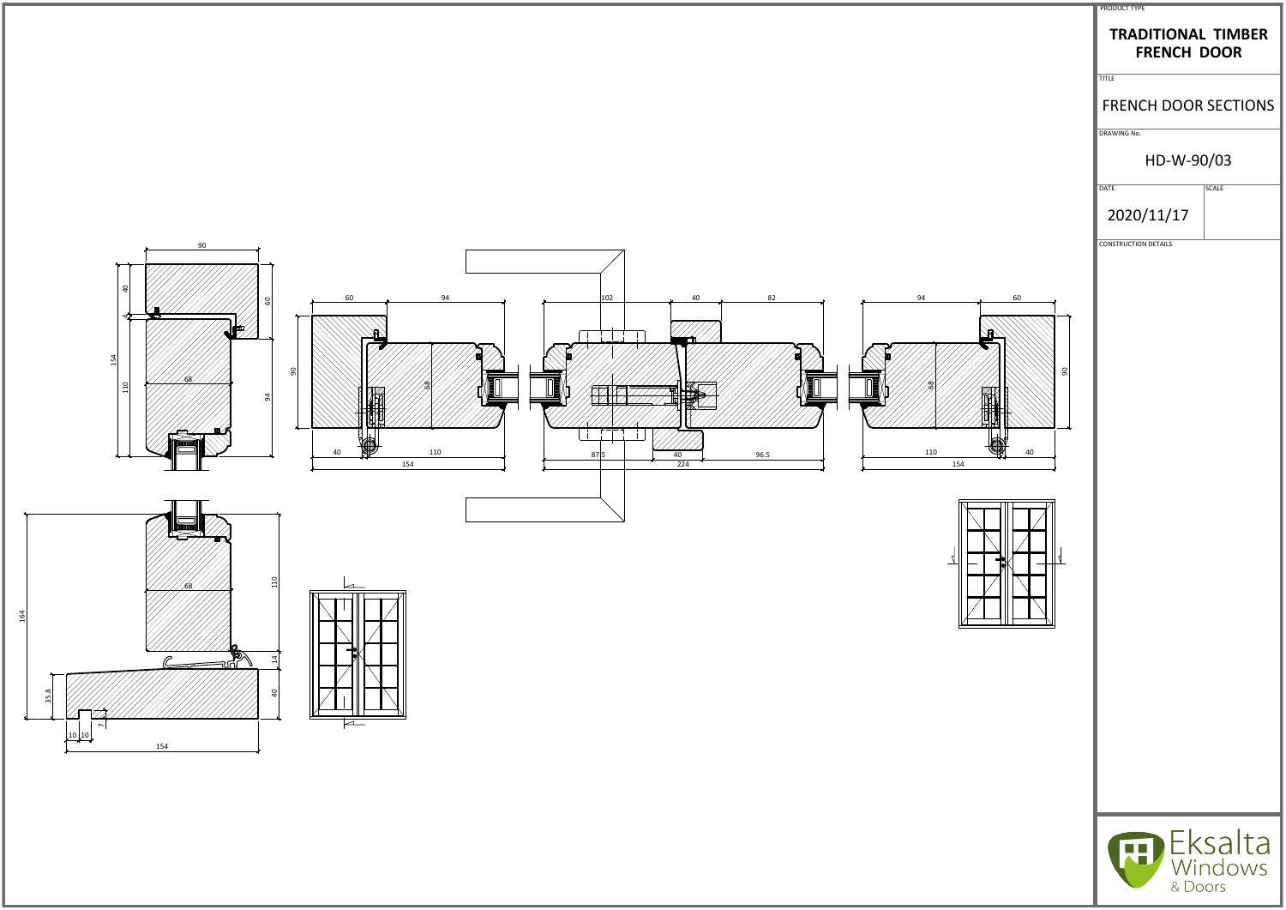

|                          | PRODUCT TYPE                                                    |                    |
|--------------------------|-----------------------------------------------------------------|--------------------|
|                          | <b>TRADITIONAL TIMBER</b><br><b>FRENCH DOOR</b><br><b>TITLE</b> |                    |
|                          | <b>FRENCH DOOR SECTIONS</b>                                     |                    |
|                          | DRAWING No.                                                     |                    |
|                          | HD-W-90/03                                                      |                    |
|                          | <b>DATE</b>                                                     | SCALE              |
|                          | 2020/11/17                                                      |                    |
|                          | <b>CONSTRUCTION DETAILS</b>                                     |                    |
|                          |                                                                 |                    |
| 60                       |                                                                 |                    |
|                          |                                                                 |                    |
| 90                       |                                                                 |                    |
|                          |                                                                 |                    |
|                          |                                                                 |                    |
| 110<br>40<br>154         |                                                                 |                    |
|                          |                                                                 |                    |
|                          |                                                                 |                    |
| $\overline{4}$<br>4<br>Ī |                                                                 |                    |
|                          |                                                                 |                    |
|                          |                                                                 |                    |
|                          |                                                                 |                    |
|                          |                                                                 |                    |
|                          |                                                                 |                    |
|                          |                                                                 |                    |
|                          |                                                                 |                    |
|                          |                                                                 |                    |
|                          |                                                                 |                    |
|                          |                                                                 | Eksalta<br>Windows |
|                          | & Doors                                                         |                    |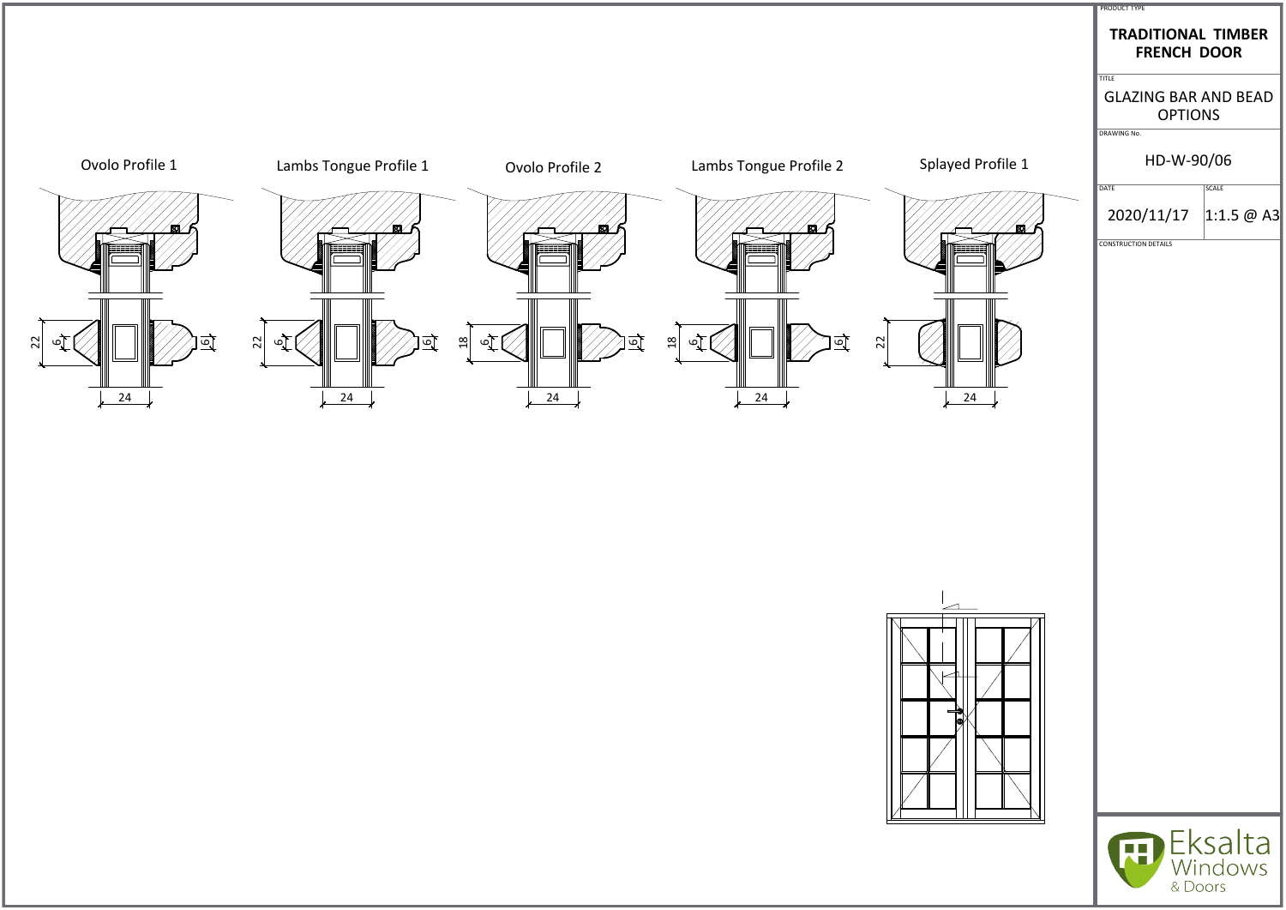



#### GLAZING BAR AND BEAD OPTIONS



## HD-W-90/06



# **TRADITIONAL TIMBER FRENCH DOOR**